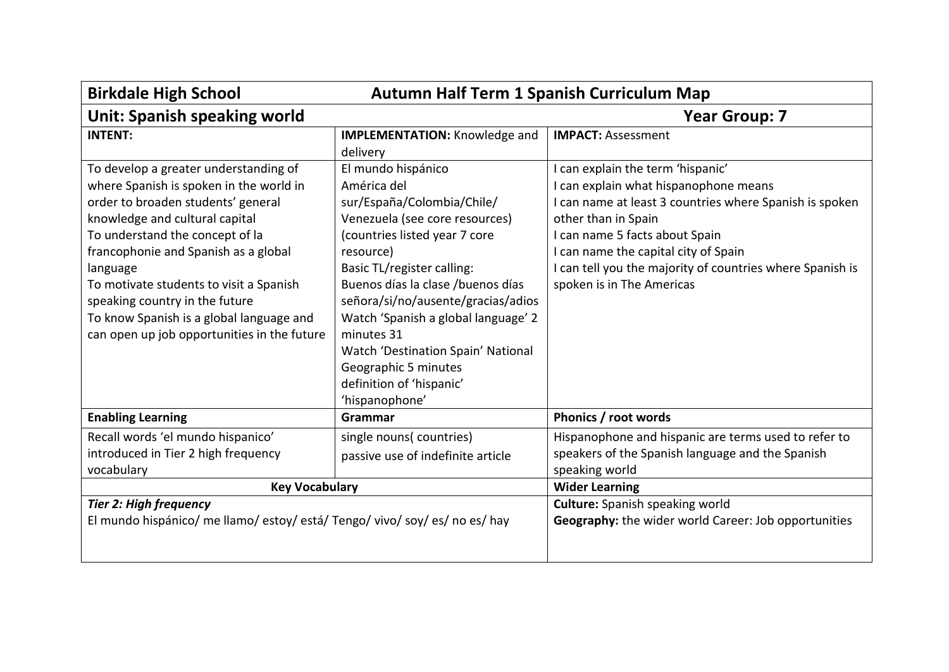| <b>Birkdale High School</b><br>Autumn Half Term 1 Spanish Curriculum Map    |                                      |                                                           |  |  |
|-----------------------------------------------------------------------------|--------------------------------------|-----------------------------------------------------------|--|--|
| Unit: Spanish speaking world                                                | <b>Year Group: 7</b>                 |                                                           |  |  |
| <b>INTENT:</b>                                                              | <b>IMPLEMENTATION: Knowledge and</b> | <b>IMPACT: Assessment</b>                                 |  |  |
|                                                                             | delivery                             |                                                           |  |  |
| To develop a greater understanding of                                       | El mundo hispánico                   | I can explain the term 'hispanic'                         |  |  |
| where Spanish is spoken in the world in                                     | América del                          | I can explain what hispanophone means                     |  |  |
| order to broaden students' general                                          | sur/España/Colombia/Chile/           | I can name at least 3 countries where Spanish is spoken   |  |  |
| knowledge and cultural capital                                              | Venezuela (see core resources)       | other than in Spain                                       |  |  |
| To understand the concept of la                                             | (countries listed year 7 core        | I can name 5 facts about Spain                            |  |  |
| francophonie and Spanish as a global                                        | resource)                            | I can name the capital city of Spain                      |  |  |
| language                                                                    | Basic TL/register calling:           | I can tell you the majority of countries where Spanish is |  |  |
| To motivate students to visit a Spanish                                     | Buenos días la clase /buenos días    | spoken is in The Americas                                 |  |  |
| speaking country in the future                                              | señora/si/no/ausente/gracias/adios   |                                                           |  |  |
| To know Spanish is a global language and                                    | Watch 'Spanish a global language' 2  |                                                           |  |  |
| can open up job opportunities in the future                                 | minutes 31                           |                                                           |  |  |
|                                                                             | Watch 'Destination Spain' National   |                                                           |  |  |
|                                                                             | Geographic 5 minutes                 |                                                           |  |  |
|                                                                             | definition of 'hispanic'             |                                                           |  |  |
|                                                                             | 'hispanophone'                       |                                                           |  |  |
| <b>Enabling Learning</b>                                                    | Grammar                              | Phonics / root words                                      |  |  |
| Recall words 'el mundo hispanico'                                           | single nouns( countries)             | Hispanophone and hispanic are terms used to refer to      |  |  |
| introduced in Tier 2 high frequency                                         | passive use of indefinite article    | speakers of the Spanish language and the Spanish          |  |  |
| vocabulary                                                                  |                                      | speaking world                                            |  |  |
| <b>Key Vocabulary</b>                                                       |                                      | <b>Wider Learning</b>                                     |  |  |
| <b>Tier 2: High frequency</b>                                               |                                      | <b>Culture:</b> Spanish speaking world                    |  |  |
| El mundo hispánico/ me llamo/ estoy/ está/ Tengo/ vivo/ soy/ es/ no es/ hay |                                      | Geography: the wider world Career: Job opportunities      |  |  |
|                                                                             |                                      |                                                           |  |  |
|                                                                             |                                      |                                                           |  |  |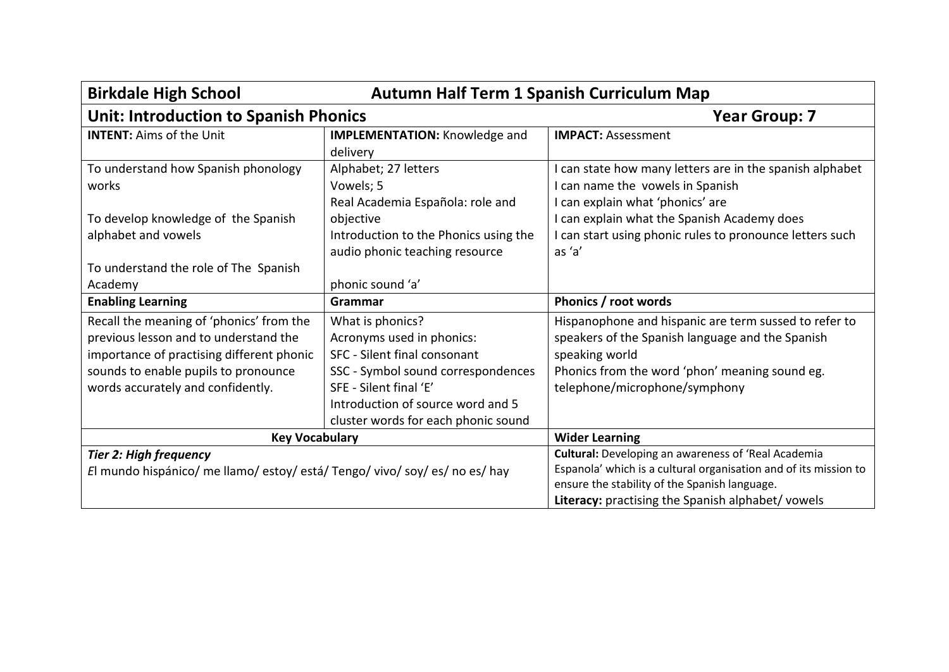| <b>Birkdale High School</b><br><b>Autumn Half Term 1 Spanish Curriculum Map</b> |                                       |                                                                  |  |  |
|---------------------------------------------------------------------------------|---------------------------------------|------------------------------------------------------------------|--|--|
| <b>Unit: Introduction to Spanish Phonics</b>                                    |                                       | <b>Year Group: 7</b>                                             |  |  |
| <b>INTENT:</b> Aims of the Unit                                                 | <b>IMPLEMENTATION:</b> Knowledge and  | <b>IMPACT: Assessment</b>                                        |  |  |
|                                                                                 | delivery                              |                                                                  |  |  |
| To understand how Spanish phonology                                             | Alphabet; 27 letters                  | I can state how many letters are in the spanish alphabet         |  |  |
| works                                                                           | Vowels; 5                             | I can name the vowels in Spanish                                 |  |  |
|                                                                                 | Real Academia Española: role and      | I can explain what 'phonics' are                                 |  |  |
| To develop knowledge of the Spanish                                             | objective                             | I can explain what the Spanish Academy does                      |  |  |
| alphabet and vowels                                                             | Introduction to the Phonics using the | I can start using phonic rules to pronounce letters such         |  |  |
|                                                                                 | audio phonic teaching resource        | as 'a'                                                           |  |  |
| To understand the role of The Spanish                                           |                                       |                                                                  |  |  |
| Academy                                                                         | phonic sound 'a'                      |                                                                  |  |  |
| <b>Enabling Learning</b>                                                        | Grammar                               | Phonics / root words                                             |  |  |
| Recall the meaning of 'phonics' from the                                        | What is phonics?                      | Hispanophone and hispanic are term sussed to refer to            |  |  |
| previous lesson and to understand the                                           | Acronyms used in phonics:             | speakers of the Spanish language and the Spanish                 |  |  |
| importance of practising different phonic                                       | SFC - Silent final consonant          | speaking world                                                   |  |  |
| sounds to enable pupils to pronounce                                            | SSC - Symbol sound correspondences    | Phonics from the word 'phon' meaning sound eg.                   |  |  |
| words accurately and confidently.                                               | SFE - Silent final 'E'                | telephone/microphone/symphony                                    |  |  |
|                                                                                 | Introduction of source word and 5     |                                                                  |  |  |
|                                                                                 | cluster words for each phonic sound   |                                                                  |  |  |
| <b>Key Vocabulary</b>                                                           |                                       | <b>Wider Learning</b>                                            |  |  |
| <b>Tier 2: High frequency</b>                                                   |                                       | <b>Cultural:</b> Developing an awareness of 'Real Academia       |  |  |
| El mundo hispánico/ me llamo/ estoy/ está/ Tengo/ vivo/ soy/ es/ no es/ hay     |                                       | Espanola' which is a cultural organisation and of its mission to |  |  |
|                                                                                 |                                       | ensure the stability of the Spanish language.                    |  |  |
|                                                                                 |                                       | Literacy: practising the Spanish alphabet/ vowels                |  |  |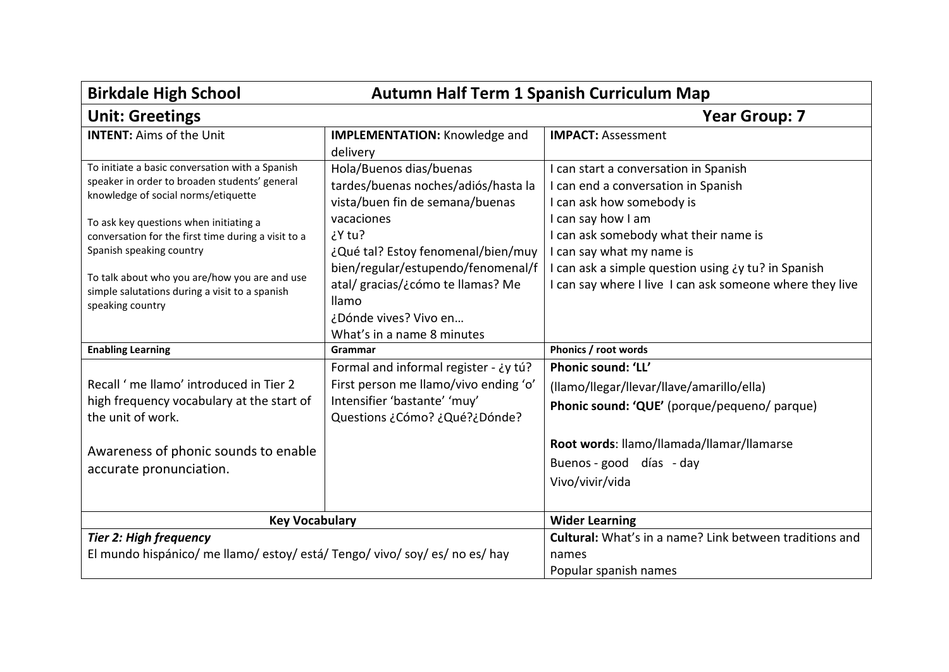| <b>Birkdale High School</b><br><b>Autumn Half Term 1 Spanish Curriculum Map</b>      |                                       |                                                                |  |  |
|--------------------------------------------------------------------------------------|---------------------------------------|----------------------------------------------------------------|--|--|
| <b>Year Group: 7</b><br><b>Unit: Greetings</b>                                       |                                       |                                                                |  |  |
| <b>INTENT:</b> Aims of the Unit                                                      | <b>IMPLEMENTATION: Knowledge and</b>  | <b>IMPACT: Assessment</b>                                      |  |  |
|                                                                                      | delivery                              |                                                                |  |  |
| To initiate a basic conversation with a Spanish                                      | Hola/Buenos dias/buenas               | I can start a conversation in Spanish                          |  |  |
| speaker in order to broaden students' general<br>knowledge of social norms/etiquette | tardes/buenas noches/adiós/hasta la   | I can end a conversation in Spanish                            |  |  |
|                                                                                      | vista/buen fin de semana/buenas       | I can ask how somebody is                                      |  |  |
| To ask key questions when initiating a                                               | vacaciones                            | I can say how I am                                             |  |  |
| conversation for the first time during a visit to a                                  | ¿Y tu?                                | I can ask somebody what their name is                          |  |  |
| Spanish speaking country                                                             | ¿Qué tal? Estoy fenomenal/bien/muy    | I can say what my name is                                      |  |  |
| To talk about who you are/how you are and use                                        | bien/regular/estupendo/fenomenal/f    | I can ask a simple question using ¿y tu? in Spanish            |  |  |
| simple salutations during a visit to a spanish                                       | atal/ gracias/¿cómo te llamas? Me     | I can say where I live I can ask someone where they live       |  |  |
| speaking country                                                                     | llamo                                 |                                                                |  |  |
|                                                                                      | ¿Dónde vives? Vivo en                 |                                                                |  |  |
|                                                                                      | What's in a name 8 minutes            |                                                                |  |  |
| <b>Enabling Learning</b>                                                             | Grammar                               | Phonics / root words                                           |  |  |
|                                                                                      | Formal and informal register - ¿y tú? | Phonic sound: 'LL'                                             |  |  |
| Recall ' me llamo' introduced in Tier 2                                              | First person me llamo/vivo ending 'o' | (Ilamo/Ilegar/Ilevar/Ilave/amarillo/ella)                      |  |  |
| high frequency vocabulary at the start of                                            | Intensifier 'bastante' 'muy'          | Phonic sound: 'QUE' (porque/pequeno/ parque)                   |  |  |
| the unit of work.                                                                    | Questions ¿Cómo? ¿Qué?¿Dónde?         |                                                                |  |  |
| Awareness of phonic sounds to enable                                                 |                                       | Root words: Ilamo/Ilamada/Ilamar/Ilamarse                      |  |  |
|                                                                                      |                                       | Buenos-good días-day                                           |  |  |
| accurate pronunciation.                                                              |                                       | Vivo/vivir/vida                                                |  |  |
|                                                                                      |                                       |                                                                |  |  |
| <b>Key Vocabulary</b>                                                                |                                       | <b>Wider Learning</b>                                          |  |  |
| <b>Tier 2: High frequency</b>                                                        |                                       | <b>Cultural:</b> What's in a name? Link between traditions and |  |  |
| El mundo hispánico/ me llamo/ estoy/ está/ Tengo/ vivo/ soy/ es/ no es/ hay          |                                       | names                                                          |  |  |
|                                                                                      |                                       | Popular spanish names                                          |  |  |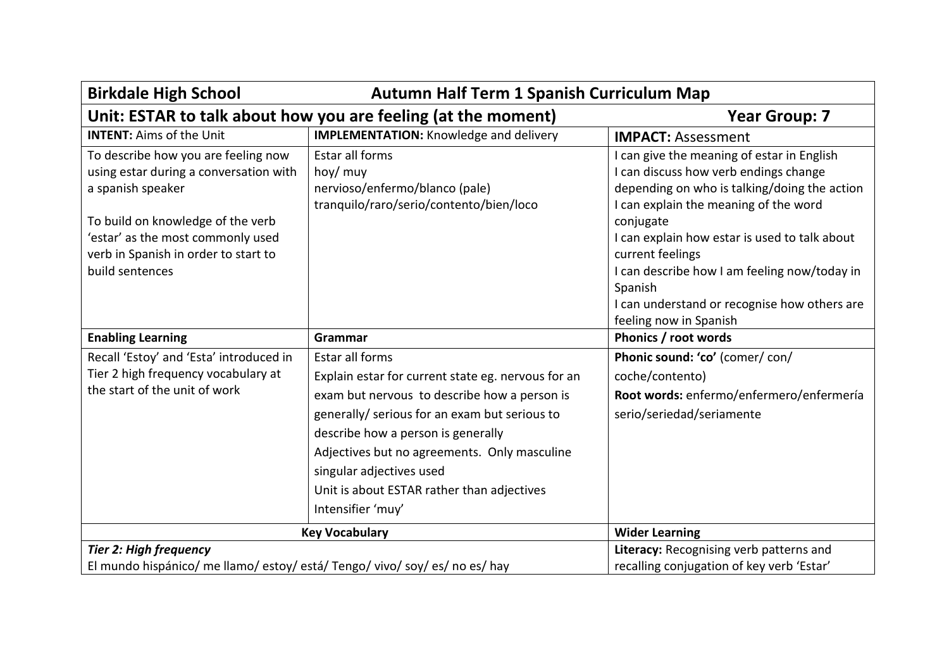| Autumn Half Term 1 Spanish Curriculum Map<br><b>Birkdale High School</b>                                                                                                                                                                |                                                                                                                                                                                                                                                                                                                                                             |                                                                                                                                                                                                                                                                                                                                                                                                     |  |
|-----------------------------------------------------------------------------------------------------------------------------------------------------------------------------------------------------------------------------------------|-------------------------------------------------------------------------------------------------------------------------------------------------------------------------------------------------------------------------------------------------------------------------------------------------------------------------------------------------------------|-----------------------------------------------------------------------------------------------------------------------------------------------------------------------------------------------------------------------------------------------------------------------------------------------------------------------------------------------------------------------------------------------------|--|
| Unit: ESTAR to talk about how you are feeling (at the moment)                                                                                                                                                                           | <b>Year Group: 7</b>                                                                                                                                                                                                                                                                                                                                        |                                                                                                                                                                                                                                                                                                                                                                                                     |  |
| <b>INTENT: Aims of the Unit</b>                                                                                                                                                                                                         | <b>IMPLEMENTATION:</b> Knowledge and delivery                                                                                                                                                                                                                                                                                                               | <b>IMPACT: Assessment</b>                                                                                                                                                                                                                                                                                                                                                                           |  |
| To describe how you are feeling now<br>using estar during a conversation with<br>a spanish speaker<br>To build on knowledge of the verb<br>'estar' as the most commonly used<br>verb in Spanish in order to start to<br>build sentences | Estar all forms<br>hoy/ muy<br>nervioso/enfermo/blanco (pale)<br>tranquilo/raro/serio/contento/bien/loco                                                                                                                                                                                                                                                    | I can give the meaning of estar in English<br>I can discuss how verb endings change<br>depending on who is talking/doing the action<br>I can explain the meaning of the word<br>conjugate<br>I can explain how estar is used to talk about<br>current feelings<br>I can describe how I am feeling now/today in<br>Spanish<br>I can understand or recognise how others are<br>feeling now in Spanish |  |
| <b>Enabling Learning</b>                                                                                                                                                                                                                | Grammar                                                                                                                                                                                                                                                                                                                                                     | Phonics / root words                                                                                                                                                                                                                                                                                                                                                                                |  |
| Recall 'Estoy' and 'Esta' introduced in<br>Tier 2 high frequency vocabulary at<br>the start of the unit of work                                                                                                                         | Estar all forms<br>Explain estar for current state eg. nervous for an<br>exam but nervous to describe how a person is<br>generally/ serious for an exam but serious to<br>describe how a person is generally<br>Adjectives but no agreements. Only masculine<br>singular adjectives used<br>Unit is about ESTAR rather than adjectives<br>Intensifier 'muy' | Phonic sound: 'co' (comer/con/<br>coche/contento)<br>Root words: enfermo/enfermero/enfermería<br>serio/seriedad/seriamente                                                                                                                                                                                                                                                                          |  |
| <b>Key Vocabulary</b>                                                                                                                                                                                                                   |                                                                                                                                                                                                                                                                                                                                                             | <b>Wider Learning</b>                                                                                                                                                                                                                                                                                                                                                                               |  |
| <b>Tier 2: High frequency</b><br>El mundo hispánico/ me llamo/ estoy/ está/ Tengo/ vivo/ soy/ es/ no es/ hay                                                                                                                            |                                                                                                                                                                                                                                                                                                                                                             | Literacy: Recognising verb patterns and<br>recalling conjugation of key verb 'Estar'                                                                                                                                                                                                                                                                                                                |  |